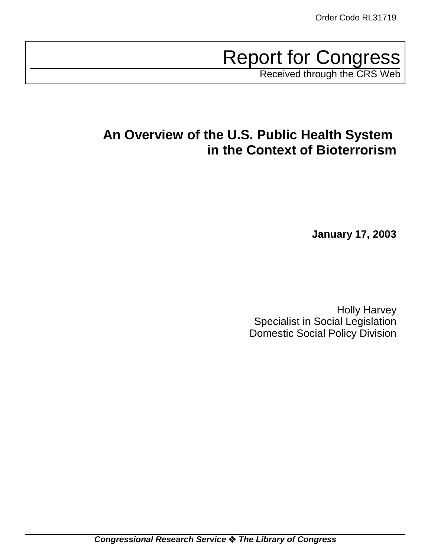# **Report for Congress**

Received through the CRS Web

# **An Overview of the U.S. Public Health System in the Context of Bioterrorism**

 **January 17, 2003**

Holly Harvey Specialist in Social Legislation Domestic Social Policy Division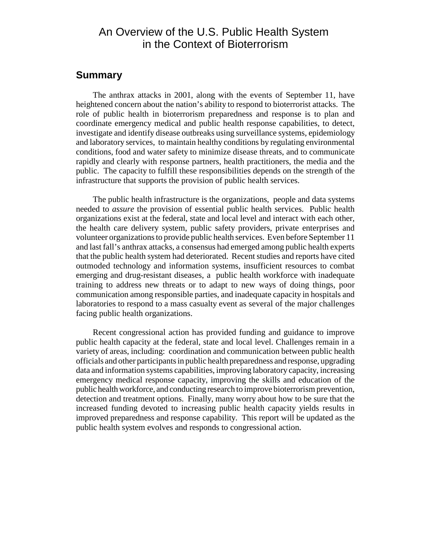# An Overview of the U.S. Public Health System in the Context of Bioterrorism

#### **Summary**

The anthrax attacks in 2001, along with the events of September 11, have heightened concern about the nation's ability to respond to bioterrorist attacks. The role of public health in bioterrorism preparedness and response is to plan and coordinate emergency medical and public health response capabilities, to detect, investigate and identify disease outbreaks using surveillance systems, epidemiology and laboratory services, to maintain healthy conditions by regulating environmental conditions, food and water safety to minimize disease threats, and to communicate rapidly and clearly with response partners, health practitioners, the media and the public. The capacity to fulfill these responsibilities depends on the strength of the infrastructure that supports the provision of public health services.

The public health infrastructure is the organizations, people and data systems needed to *assure* the provision of essential public health services. Public health organizations exist at the federal, state and local level and interact with each other, the health care delivery system, public safety providers, private enterprises and volunteer organizations to provide public health services. Even before September 11 and last fall's anthrax attacks, a consensus had emerged among public health experts that the public health system had deteriorated. Recent studies and reports have cited outmoded technology and information systems, insufficient resources to combat emerging and drug-resistant diseases, a public health workforce with inadequate training to address new threats or to adapt to new ways of doing things, poor communication among responsible parties, and inadequate capacity in hospitals and laboratories to respond to a mass casualty event as several of the major challenges facing public health organizations.

Recent congressional action has provided funding and guidance to improve public health capacity at the federal, state and local level. Challenges remain in a variety of areas, including: coordination and communication between public health officials and other participants in public health preparedness and response, upgrading data and information systems capabilities, improving laboratory capacity, increasing emergency medical response capacity, improving the skills and education of the public health workforce, and conducting research to improve bioterrorism prevention, detection and treatment options. Finally, many worry about how to be sure that the increased funding devoted to increasing public health capacity yields results in improved preparedness and response capability. This report will be updated as the public health system evolves and responds to congressional action.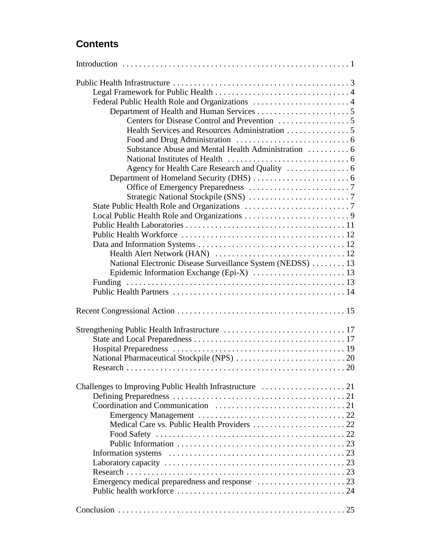# **Contents**

| National Electronic Disease Surveillance System (NEDSS)  13 |
|-------------------------------------------------------------|
|                                                             |
|                                                             |
|                                                             |
|                                                             |
|                                                             |
|                                                             |
|                                                             |
|                                                             |
|                                                             |
|                                                             |
|                                                             |
|                                                             |
|                                                             |
|                                                             |
|                                                             |
|                                                             |
|                                                             |
|                                                             |
|                                                             |
|                                                             |
|                                                             |
|                                                             |
|                                                             |
|                                                             |
|                                                             |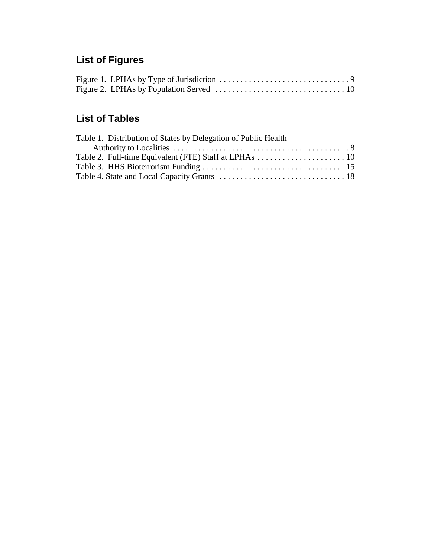# **List of Figures**

# **List of Tables**

| Table 1. Distribution of States by Delegation of Public Health |  |
|----------------------------------------------------------------|--|
|                                                                |  |
|                                                                |  |
|                                                                |  |
|                                                                |  |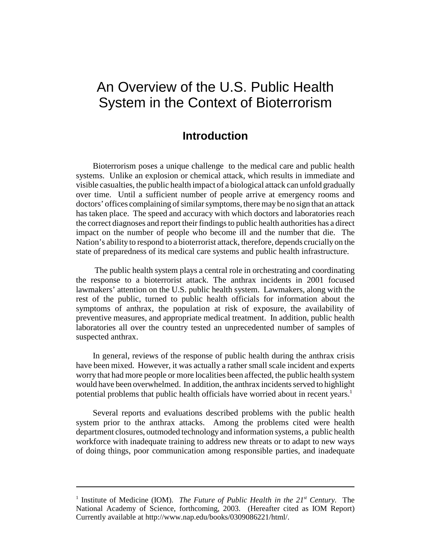# An Overview of the U.S. Public Health System in the Context of Bioterrorism

## **Introduction**

Bioterrorism poses a unique challenge to the medical care and public health systems. Unlike an explosion or chemical attack, which results in immediate and visible casualties, the public health impact of a biological attack can unfold gradually over time. Until a sufficient number of people arrive at emergency rooms and doctors' offices complaining of similar symptoms, there may be no sign that an attack has taken place. The speed and accuracy with which doctors and laboratories reach the correct diagnoses and report their findings to public health authorities has a direct impact on the number of people who become ill and the number that die. The Nation's ability to respond to a bioterrorist attack, therefore, depends crucially on the state of preparedness of its medical care systems and public health infrastructure.

 The public health system plays a central role in orchestrating and coordinating the response to a bioterrorist attack. The anthrax incidents in 2001 focused lawmakers' attention on the U.S. public health system. Lawmakers, along with the rest of the public, turned to public health officials for information about the symptoms of anthrax, the population at risk of exposure, the availability of preventive measures, and appropriate medical treatment. In addition, public health laboratories all over the country tested an unprecedented number of samples of suspected anthrax.

In general, reviews of the response of public health during the anthrax crisis have been mixed. However, it was actually a rather small scale incident and experts worry that had more people or more localities been affected, the public health system would have been overwhelmed. In addition, the anthrax incidents served to highlight potential problems that public health officials have worried about in recent years.<sup>1</sup>

Several reports and evaluations described problems with the public health system prior to the anthrax attacks. Among the problems cited were health department closures, outmoded technology and information systems, a public health workforce with inadequate training to address new threats or to adapt to new ways of doing things, poor communication among responsible parties, and inadequate

<sup>&</sup>lt;sup>1</sup> Institute of Medicine (IOM). *The Future of Public Health in the 21st* Century. The National Academy of Science, forthcoming, 2003. (Hereafter cited as IOM Report) Currently available at http://www.nap.edu/books/0309086221/html/.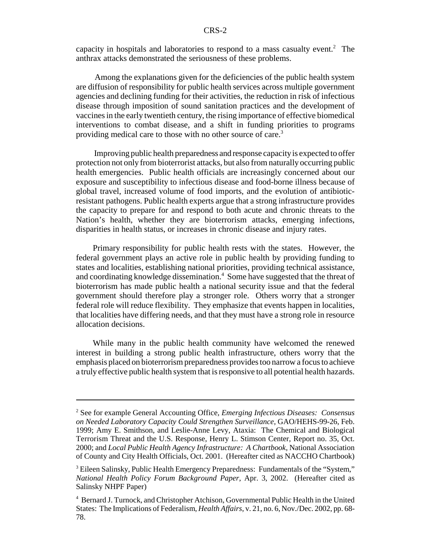capacity in hospitals and laboratories to respond to a mass casualty event.<sup>2</sup> The anthrax attacks demonstrated the seriousness of these problems.

 Among the explanations given for the deficiencies of the public health system are diffusion of responsibility for public health services across multiple government agencies and declining funding for their activities, the reduction in risk of infectious disease through imposition of sound sanitation practices and the development of vaccines in the early twentieth century, the rising importance of effective biomedical interventions to combat disease, and a shift in funding priorities to programs providing medical care to those with no other source of care.<sup>3</sup>

 Improving public health preparedness and response capacity is expected to offer protection not only from bioterrorist attacks, but also from naturally occurring public health emergencies. Public health officials are increasingly concerned about our exposure and susceptibility to infectious disease and food-borne illness because of global travel, increased volume of food imports, and the evolution of antibioticresistant pathogens. Public health experts argue that a strong infrastructure provides the capacity to prepare for and respond to both acute and chronic threats to the Nation's health, whether they are bioterrorism attacks, emerging infections, disparities in health status, or increases in chronic disease and injury rates.

Primary responsibility for public health rests with the states. However, the federal government plays an active role in public health by providing funding to states and localities, establishing national priorities, providing technical assistance, and coordinating knowledge dissemination.<sup>4</sup> Some have suggested that the threat of bioterrorism has made public health a national security issue and that the federal government should therefore play a stronger role. Others worry that a stronger federal role will reduce flexibility. They emphasize that events happen in localities, that localities have differing needs, and that they must have a strong role in resource allocation decisions.

While many in the public health community have welcomed the renewed interest in building a strong public health infrastructure, others worry that the emphasis placed on bioterrorism preparedness provides too narrow a focus to achieve a truly effective public health system that is responsive to all potential health hazards.

<sup>2</sup> See for example General Accounting Office, *Emerging Infectious Diseases: Consensus on Needed Laboratory Capacity Could Strengthen Surveillance*, GAO/HEHS-99-26, Feb. 1999; Amy E. Smithson, and Leslie-Anne Levy, Ataxia: The Chemical and Biological Terrorism Threat and the U.S. Response, Henry L. Stimson Center, Report no. 35, Oct. 2000; and *Local Public Health Agency Infrastructure: A Chartbook*, National Association of County and City Health Officials, Oct. 2001. (Hereafter cited as NACCHO Chartbook)

<sup>&</sup>lt;sup>3</sup> Eileen Salinsky, Public Health Emergency Preparedness: Fundamentals of the "System," *National Health Policy Forum Background Paper*, Apr. 3, 2002. (Hereafter cited as Salinsky NHPF Paper)

<sup>4</sup> Bernard J. Turnock, and Christopher Atchison, Governmental Public Health in the United States: The Implications of Federalism, *Health Affairs*, v. 21, no. 6, Nov./Dec. 2002, pp. 68- 78.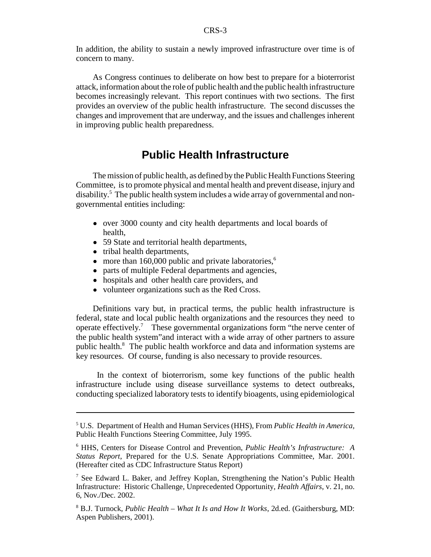In addition, the ability to sustain a newly improved infrastructure over time is of concern to many.

As Congress continues to deliberate on how best to prepare for a bioterrorist attack, information about the role of public health and the public health infrastructure becomes increasingly relevant. This report continues with two sections. The first provides an overview of the public health infrastructure. The second discusses the changes and improvement that are underway, and the issues and challenges inherent in improving public health preparedness.

## **Public Health Infrastructure**

The mission of public health, as defined by the Public Health Functions Steering Committee, is to promote physical and mental health and prevent disease, injury and disability.<sup>5</sup> The public health system includes a wide array of governmental and nongovernmental entities including:

- over 3000 county and city health departments and local boards of health,
- 59 State and territorial health departments,
- tribal health departments,
- $\bullet$  more than 160,000 public and private laboratories,<sup>6</sup>
- parts of multiple Federal departments and agencies,
- ! hospitals and other health care providers, and
- volunteer organizations such as the Red Cross.

Definitions vary but, in practical terms, the public health infrastructure is federal, state and local public health organizations and the resources they need to operate effectively.<sup>7</sup> These governmental organizations form "the nerve center of the public health system"and interact with a wide array of other partners to assure public health.<sup>8</sup> The public health workforce and data and information systems are key resources. Of course, funding is also necessary to provide resources.

 In the context of bioterrorism, some key functions of the public health infrastructure include using disease surveillance systems to detect outbreaks, conducting specialized laboratory tests to identify bioagents, using epidemiological

<sup>5</sup> U.S. Department of Health and Human Services (HHS), From *Public Health in America,* Public Health Functions Steering Committee, July 1995.

<sup>6</sup> HHS, Centers for Disease Control and Prevention, *Public Health's Infrastructure: A Status Report*, Prepared for the U.S. Senate Appropriations Committee, Mar. 2001. (Hereafter cited as CDC Infrastructure Status Report)

<sup>&</sup>lt;sup>7</sup> See Edward L. Baker, and Jeffrey Koplan, Strengthening the Nation's Public Health Infrastructure: Historic Challenge, Unprecedented Opportunity, *Health Affairs*, v. 21, no. 6, Nov./Dec. 2002.

<sup>8</sup> B.J. Turnock, *Public Health – What It Is and How It Works*, 2d.ed. (Gaithersburg, MD: Aspen Publishers, 2001).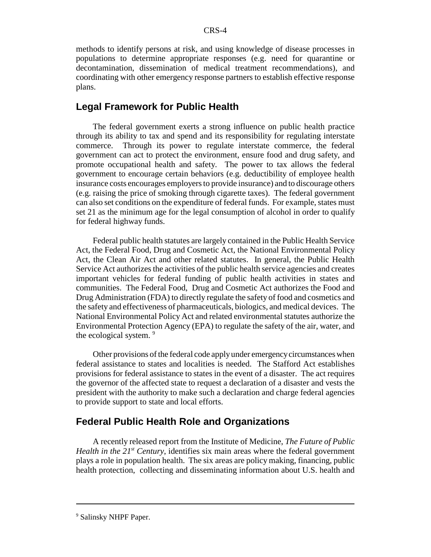methods to identify persons at risk, and using knowledge of disease processes in populations to determine appropriate responses (e.g. need for quarantine or decontamination, dissemination of medical treatment recommendations), and coordinating with other emergency response partners to establish effective response plans.

#### **Legal Framework for Public Health**

The federal government exerts a strong influence on public health practice through its ability to tax and spend and its responsibility for regulating interstate commerce. Through its power to regulate interstate commerce, the federal government can act to protect the environment, ensure food and drug safety, and promote occupational health and safety. The power to tax allows the federal government to encourage certain behaviors (e.g. deductibility of employee health insurance costs encourages employers to provide insurance) and to discourage others (e.g. raising the price of smoking through cigarette taxes). The federal government can also set conditions on the expenditure of federal funds. For example, states must set 21 as the minimum age for the legal consumption of alcohol in order to qualify for federal highway funds.

Federal public health statutes are largely contained in the Public Health Service Act, the Federal Food, Drug and Cosmetic Act, the National Environmental Policy Act, the Clean Air Act and other related statutes. In general, the Public Health Service Act authorizes the activities of the public health service agencies and creates important vehicles for federal funding of public health activities in states and communities. The Federal Food, Drug and Cosmetic Act authorizes the Food and Drug Administration (FDA) to directly regulate the safety of food and cosmetics and the safety and effectiveness of pharmaceuticals, biologics, and medical devices. The National Environmental Policy Act and related environmental statutes authorize the Environmental Protection Agency (EPA) to regulate the safety of the air, water, and the ecological system.<sup>9</sup>

Other provisions of the federal code apply under emergency circumstances when federal assistance to states and localities is needed. The Stafford Act establishes provisions for federal assistance to states in the event of a disaster. The act requires the governor of the affected state to request a declaration of a disaster and vests the president with the authority to make such a declaration and charge federal agencies to provide support to state and local efforts.

#### **Federal Public Health Role and Organizations**

A recently released report from the Institute of Medicine, *The Future of Public Health in the*  $21^{st}$  *Century*, identifies six main areas where the federal government plays a role in population health. The six areas are policy making, financing, public health protection, collecting and disseminating information about U.S. health and

<sup>&</sup>lt;sup>9</sup> Salinsky NHPF Paper.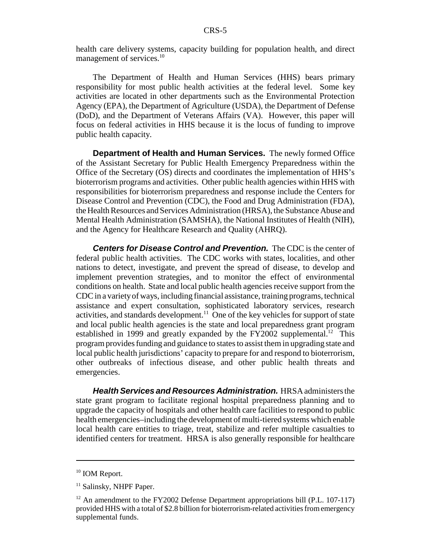health care delivery systems, capacity building for population health, and direct management of services.<sup>10</sup>

The Department of Health and Human Services (HHS) bears primary responsibility for most public health activities at the federal level. Some key activities are located in other departments such as the Environmental Protection Agency (EPA), the Department of Agriculture (USDA), the Department of Defense (DoD), and the Department of Veterans Affairs (VA). However, this paper will focus on federal activities in HHS because it is the locus of funding to improve public health capacity.

 **Department of Health and Human Services.** The newly formed Office of the Assistant Secretary for Public Health Emergency Preparedness within the Office of the Secretary (OS) directs and coordinates the implementation of HHS's bioterrorism programs and activities. Other public health agencies within HHS with responsibilities for bioterrorism preparedness and response include the Centers for Disease Control and Prevention (CDC), the Food and Drug Administration (FDA), the Health Resources and Services Administration (HRSA), the Substance Abuse and Mental Health Administration (SAMSHA), the National Institutes of Health (NIH), and the Agency for Healthcare Research and Quality (AHRQ).

*Centers for Disease Control and Prevention.* The CDC is the center of federal public health activities. The CDC works with states, localities, and other nations to detect, investigate, and prevent the spread of disease, to develop and implement prevention strategies, and to monitor the effect of environmental conditions on health. State and local public health agencies receive support from the CDC in a variety of ways, including financial assistance, training programs, technical assistance and expert consultation, sophisticated laboratory services, research activities, and standards development.<sup>11</sup> One of the key vehicles for support of state and local public health agencies is the state and local preparedness grant program established in 1999 and greatly expanded by the  $FY2002$  supplemental.<sup>12</sup> This program provides funding and guidance to states to assist them in upgrading state and local public health jurisdictions' capacity to prepare for and respond to bioterrorism, other outbreaks of infectious disease, and other public health threats and emergencies.

*Health Services and Resources Administration.* HRSA administers the state grant program to facilitate regional hospital preparedness planning and to upgrade the capacity of hospitals and other health care facilities to respond to public health emergencies–including the development of multi-tiered systems which enable local health care entities to triage, treat, stabilize and refer multiple casualties to identified centers for treatment. HRSA is also generally responsible for healthcare

<sup>&</sup>lt;sup>10</sup> IOM Report.

<sup>&</sup>lt;sup>11</sup> Salinsky, NHPF Paper.

 $12$  An amendment to the FY2002 Defense Department appropriations bill (P.L. 107-117) provided HHS with a total of \$2.8 billion for bioterrorism-related activities from emergency supplemental funds.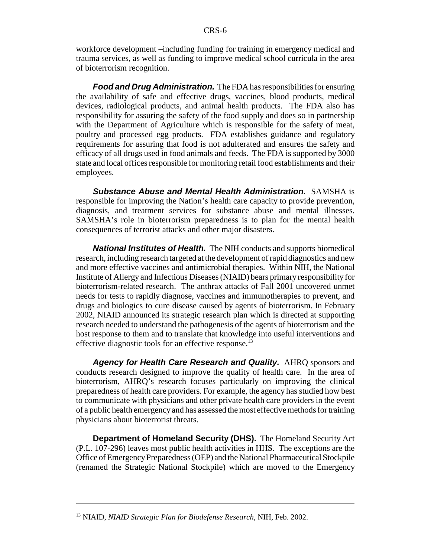workforce development –including funding for training in emergency medical and trauma services, as well as funding to improve medical school curricula in the area of bioterrorism recognition.

*Food and Drug Administration.* The FDA has responsibilities for ensuring the availability of safe and effective drugs, vaccines, blood products, medical devices, radiological products, and animal health products. The FDA also has responsibility for assuring the safety of the food supply and does so in partnership with the Department of Agriculture which is responsible for the safety of meat, poultry and processed egg products. FDA establishes guidance and regulatory requirements for assuring that food is not adulterated and ensures the safety and efficacy of all drugs used in food animals and feeds. The FDA is supported by 3000 state and local offices responsible for monitoring retail food establishments and their employees.

*Substance Abuse and Mental Health Administration.* SAMSHA is responsible for improving the Nation's health care capacity to provide prevention, diagnosis, and treatment services for substance abuse and mental illnesses. SAMSHA's role in bioterrorism preparedness is to plan for the mental health consequences of terrorist attacks and other major disasters.

*National Institutes of Health.* The NIH conducts and supports biomedical research, including research targeted at the development of rapid diagnostics and new and more effective vaccines and antimicrobial therapies. Within NIH, the National Institute of Allergy and Infectious Diseases (NIAID) bears primary responsibility for bioterrorism-related research. The anthrax attacks of Fall 2001 uncovered unmet needs for tests to rapidly diagnose, vaccines and immunotherapies to prevent, and drugs and biologics to cure disease caused by agents of bioterrorism. In February 2002, NIAID announced its strategic research plan which is directed at supporting research needed to understand the pathogenesis of the agents of bioterrorism and the host response to them and to translate that knowledge into useful interventions and effective diagnostic tools for an effective response.<sup>13</sup>

*Agency for Health Care Research and Quality.* AHRQ sponsors and conducts research designed to improve the quality of health care. In the area of bioterrorism, AHRQ's research focuses particularly on improving the clinical preparedness of health care providers. For example, the agency has studied how best to communicate with physicians and other private health care providers in the event of a public health emergency and has assessed the most effective methods for training physicians about bioterrorist threats.

**Department of Homeland Security (DHS).** The Homeland Security Act (P.L. 107-296) leaves most public health activities in HHS. The exceptions are the Office of Emergency Preparedness (OEP) and the National Pharmaceutical Stockpile (renamed the Strategic National Stockpile) which are moved to the Emergency

<sup>13</sup> NIAID, *NIAID Strategic Plan for Biodefense Research*, NIH, Feb. 2002.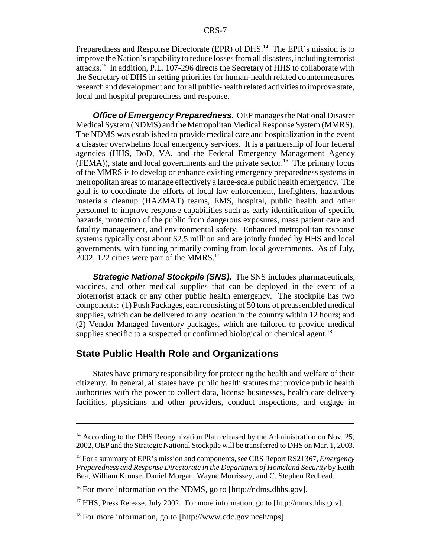Preparedness and Response Directorate (EPR) of DHS.<sup>14</sup> The EPR's mission is to improve the Nation's capability to reduce losses from all disasters, including terrorist attacks.15 In addition, P.L. 107-296 directs the Secretary of HHS to collaborate with the Secretary of DHS in setting priorities for human-health related countermeasures research and development and for all public-health related activities to improve state, local and hospital preparedness and response.

*Office of Emergency Preparedness.* OEP manages the National Disaster Medical System (NDMS) and the Metropolitan Medical Response System (MMRS). The NDMS was established to provide medical care and hospitalization in the event a disaster overwhelms local emergency services. It is a partnership of four federal agencies (HHS, DoD, VA, and the Federal Emergency Management Agency  $(FEMA)$ , state and local governments and the private sector.<sup>16</sup> The primary focus of the MMRS is to develop or enhance existing emergency preparedness systems in metropolitan areas to manage effectively a large-scale public health emergency. The goal is to coordinate the efforts of local law enforcement, firefighters, hazardous materials cleanup (HAZMAT) teams, EMS, hospital, public health and other personnel to improve response capabilities such as early identification of specific hazards, protection of the public from dangerous exposures, mass patient care and fatality management, and environmental safety. Enhanced metropolitan response systems typically cost about \$2.5 million and are jointly funded by HHS and local governments, with funding primarily coming from local governments. As of July, 2002, 122 cities were part of the MMRS.<sup>17</sup>

*Strategic National Stockpile (SNS).* The SNS includes pharmaceuticals, vaccines, and other medical supplies that can be deployed in the event of a bioterrorist attack or any other public health emergency. The stockpile has two components: (1) Push Packages, each consisting of 50 tons of preassembled medical supplies, which can be delivered to any location in the country within 12 hours; and (2) Vendor Managed Inventory packages, which are tailored to provide medical supplies specific to a suspected or confirmed biological or chemical agent.<sup>18</sup>

#### **State Public Health Role and Organizations**

States have primary responsibility for protecting the health and welfare of their citizenry. In general, all states have public health statutes that provide public health authorities with the power to collect data, license businesses, health care delivery facilities, physicians and other providers, conduct inspections, and engage in

 $14$  According to the DHS Reorganization Plan released by the Administration on Nov. 25, 2002, OEP and the Strategic National Stockpile will be transferred to DHS on Mar. 1, 2003.

<sup>15</sup> For a summary of EPR's mission and components, see CRS Report RS21367, *Emergency Preparedness and Response Directorate in the Department of Homeland Security* by Keith Bea, William Krouse, Daniel Morgan, Wayne Morrissey, and C. Stephen Redhead.

<sup>&</sup>lt;sup>16</sup> For more information on the NDMS, go to [http://ndms.dhhs.gov].

<sup>&</sup>lt;sup>17</sup> HHS, Press Release, July 2002. For more information, go to [http://mmrs.hhs.gov].

<sup>&</sup>lt;sup>18</sup> For more information, go to [http://www.cdc.gov.nceh/nps].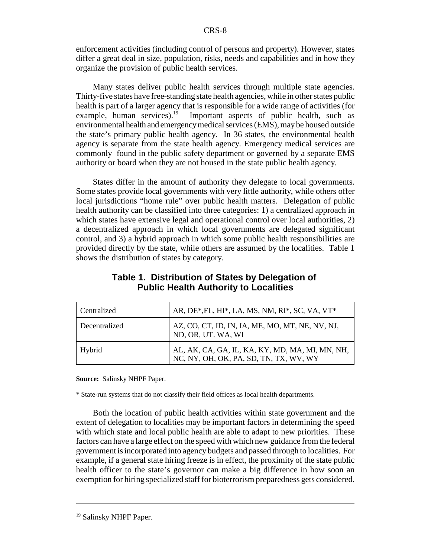enforcement activities (including control of persons and property). However, states differ a great deal in size, population, risks, needs and capabilities and in how they organize the provision of public health services.

Many states deliver public health services through multiple state agencies. Thirty-five states have free-standing state health agencies, while in other states public health is part of a larger agency that is responsible for a wide range of activities (for example, human services).<sup>19</sup> Important aspects of public health, such as environmental health and emergency medical services (EMS), may be housed outside the state's primary public health agency. In 36 states, the environmental health agency is separate from the state health agency. Emergency medical services are commonly found in the public safety department or governed by a separate EMS authority or board when they are not housed in the state public health agency.

States differ in the amount of authority they delegate to local governments. Some states provide local governments with very little authority, while others offer local jurisdictions "home rule" over public health matters. Delegation of public health authority can be classified into three categories: 1) a centralized approach in which states have extensive legal and operational control over local authorities, 2) a decentralized approach in which local governments are delegated significant control, and 3) a hybrid approach in which some public health responsibilities are provided directly by the state, while others are assumed by the localities. Table 1 shows the distribution of states by category.

| Centralized   | AR, DE*, FL, HI*, LA, MS, NM, RI*, SC, VA, VT*                                            |
|---------------|-------------------------------------------------------------------------------------------|
| Decentralized | AZ, CO, CT, ID, IN, IA, ME, MO, MT, NE, NV, NJ,<br>ND, OR, UT. WA, WI                     |
| Hybrid        | AL, AK, CA, GA, IL, KA, KY, MD, MA, MI, MN, NH,<br>NC, NY, OH, OK, PA, SD, TN, TX, WV, WY |

#### **Table 1. Distribution of States by Delegation of Public Health Authority to Localities**

**Source:** Salinsky NHPF Paper.

\* State-run systems that do not classify their field offices as local health departments.

Both the location of public health activities within state government and the extent of delegation to localities may be important factors in determining the speed with which state and local public health are able to adapt to new priorities. These factors can have a large effect on the speed with which new guidance from the federal government is incorporated into agency budgets and passed through to localities. For example, if a general state hiring freeze is in effect, the proximity of the state public health officer to the state's governor can make a big difference in how soon an exemption for hiring specialized staff for bioterrorism preparedness gets considered.

<sup>&</sup>lt;sup>19</sup> Salinsky NHPF Paper.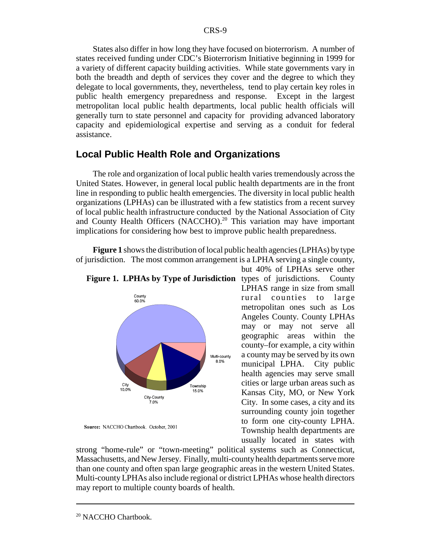States also differ in how long they have focused on bioterrorism. A number of states received funding under CDC's Bioterrorism Initiative beginning in 1999 for a variety of different capacity building activities. While state governments vary in both the breadth and depth of services they cover and the degree to which they delegate to local governments, they, nevertheless, tend to play certain key roles in public health emergency preparedness and response. Except in the largest metropolitan local public health departments, local public health officials will generally turn to state personnel and capacity for providing advanced laboratory capacity and epidemiological expertise and serving as a conduit for federal assistance.

#### **Local Public Health Role and Organizations**

The role and organization of local public health varies tremendously across the United States. However, in general local public health departments are in the front line in responding to public health emergencies. The diversity in local public health organizations (LPHAs) can be illustrated with a few statistics from a recent survey of local public health infrastructure conducted by the National Association of City and County Health Officers (NACCHO).<sup>20</sup> This variation may have important implications for considering how best to improve public health preparedness.

**Figure 1** shows the distribution of local public health agencies (LPHAs) by type of jurisdiction. The most common arrangement is a LPHA serving a single county,



Source: NACCHO Chartbook. October, 2001

**Figure 1. LPHAs by Type of Jurisdiction** types of jurisdictions. County LPHAS range in size from small rural counties to large metropolitan ones such as Los Angeles County. County LPHAs may or may not serve all geographic areas within the county–for example, a city within a county may be served by its own municipal LPHA. City public health agencies may serve small cities or large urban areas such as Kansas City, MO, or New York City. In some cases, a city and its surrounding county join together to form one city-county LPHA. Township health departments are usually located in states with

but 40% of LPHAs serve other

strong "home-rule" or "town-meeting" political systems such as Connecticut, Massachusetts, and New Jersey. Finally, multi-county health departments serve more than one county and often span large geographic areas in the western United States. Multi-county LPHAs also include regional or district LPHAs whose health directors may report to multiple county boards of health.

<sup>&</sup>lt;sup>20</sup> NACCHO Chartbook.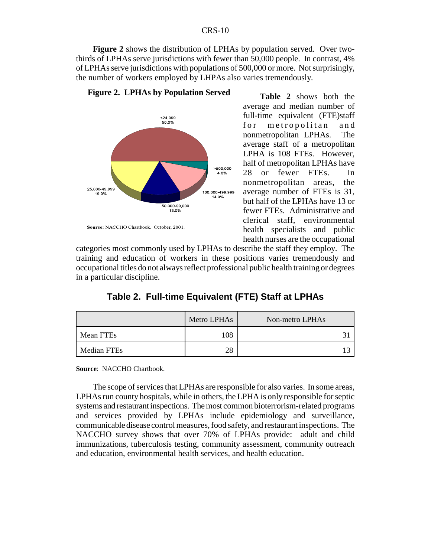**Figure 2** shows the distribution of LPHAs by population served. Over twothirds of LPHAs serve jurisdictions with fewer than 50,000 people. In contrast, 4% of LPHAs serve jurisdictions with populations of 500,000 or more. Not surprisingly, the number of workers employed by LHPAs also varies tremendously.



**Figure 2. LPHAs by Population Served**

**Table 2** shows both the average and median number of full-time equivalent (FTE)staff for metropolitan and nonmetropolitan LPHAs. The average staff of a metropolitan LPHA is 108 FTEs. However, half of metropolitan LPHAs have 28 or fewer FTEs. In nonmetropolitan areas, the average number of FTEs is 31, but half of the LPHAs have 13 or fewer FTEs. Administrative and clerical staff, environmental health specialists and public health nurses are the occupational

categories most commonly used by LPHAs to describe the staff they employ. The training and education of workers in these positions varies tremendously and occupational titles do not always reflect professional public health training or degrees in a particular discipline.

|             | Metro LPHAs | Non-metro LPHAs |
|-------------|-------------|-----------------|
| Mean FTEs   | 108         |                 |
| Median FTEs | ററ          |                 |

**Table 2. Full-time Equivalent (FTE) Staff at LPHAs**

**Source**: NACCHO Chartbook.

The scope of services that LPHAs are responsible for also varies. In some areas, LPHAs run county hospitals, while in others, the LPHA is only responsible for septic systems and restaurant inspections. The most common bioterrorism-related programs and services provided by LPHAs include epidemiology and surveillance, communicable disease control measures, food safety, and restaurant inspections. The NACCHO survey shows that over 70% of LPHAs provide: adult and child immunizations, tuberculosis testing, community assessment, community outreach and education, environmental health services, and health education.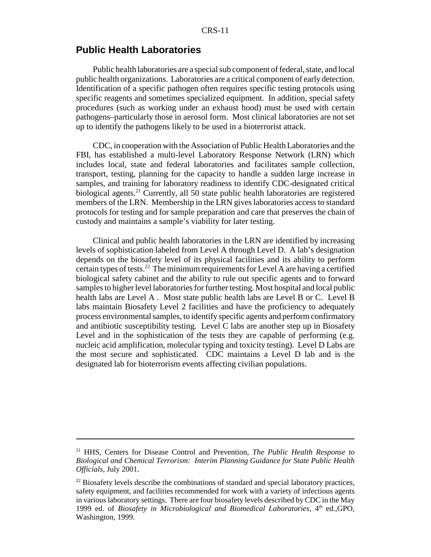## **Public Health Laboratories**

Public health laboratories are a special sub component of federal, state, and local public health organizations. Laboratories are a critical component of early detection. Identification of a specific pathogen often requires specific testing protocols using specific reagents and sometimes specialized equipment. In addition, special safety procedures (such as working under an exhaust hood) must be used with certain pathogens–particularly those in aerosol form. Most clinical laboratories are not set up to identify the pathogens likely to be used in a bioterrorist attack.

CDC, in cooperation with the Association of Public Health Laboratories and the FBI, has established a multi-level Laboratory Response Network (LRN) which includes local, state and federal laboratories and facilitates sample collection, transport, testing, planning for the capacity to handle a sudden large increase in samples, and training for laboratory readiness to identify CDC-designated critical biological agents.<sup>21</sup> Currently, all 50 state public health laboratories are registered members of the LRN. Membership in the LRN gives laboratories access to standard protocols for testing and for sample preparation and care that preserves the chain of custody and maintains a sample's viability for later testing.

Clinical and public health laboratories in the LRN are identified by increasing levels of sophistication labeled from Level A through Level D. A lab's designation depends on the biosafety level of its physical facilities and its ability to perform certain types of tests.<sup>22</sup> The minimum requirements for Level A are having a certified biological safety cabinet and the ability to rule out specific agents and to forward samples to higher level laboratories for further testing. Most hospital and local public health labs are Level A . Most state public health labs are Level B or C. Level B labs maintain Biosafety Level 2 facilities and have the proficiency to adequately process environmental samples, to identify specific agents and perform confirmatory and antibiotic susceptibility testing. Level C labs are another step up in Biosafety Level and in the sophistication of the tests they are capable of performing (e.g. nucleic acid amplification, molecular typing and toxicity testing). Level D Labs are the most secure and sophisticated. CDC maintains a Level D lab and is the designated lab for bioterrorism events affecting civilian populations.

<sup>21</sup> HHS, Centers for Disease Control and Prevention, *The Public Health Response to Biological and Chemical Terrorism: Interim Planning Guidance for State Public Health Officials*, July 2001.

<sup>&</sup>lt;sup>22</sup> Biosafety levels describe the combinations of standard and special laboratory practices, safety equipment, and facilities recommended for work with a variety of infectious agents in various laboratory settings. There are four biosafety levels described by CDC in the May 1999 ed. of *Biosafety in Microbiological and Biomedical Laboratories*, 4<sup>th</sup> ed.,GPO, Washington, 1999.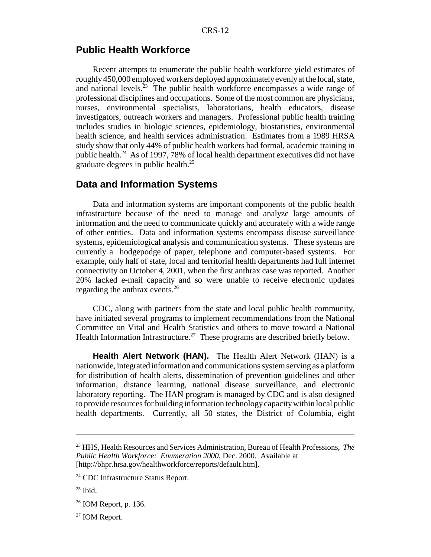#### **Public Health Workforce**

Recent attempts to enumerate the public health workforce yield estimates of roughly 450,000 employed workers deployed approximately evenly at the local, state, and national levels.<sup>23</sup> The public health workforce encompasses a wide range of professional disciplines and occupations. Some of the most common are physicians, nurses, environmental specialists, laboratorians, health educators, disease investigators, outreach workers and managers. Professional public health training includes studies in biologic sciences, epidemiology, biostatistics, environmental health science, and health services administration. Estimates from a 1989 HRSA study show that only 44% of public health workers had formal, academic training in public health.24 As of 1997, 78% of local health department executives did not have graduate degrees in public health.25

## **Data and Information Systems**

Data and information systems are important components of the public health infrastructure because of the need to manage and analyze large amounts of information and the need to communicate quickly and accurately with a wide range of other entities. Data and information systems encompass disease surveillance systems, epidemiological analysis and communication systems. These systems are currently a hodgepodge of paper, telephone and computer-based systems. For example, only half of state, local and territorial health departments had full internet connectivity on October 4, 2001, when the first anthrax case was reported. Another 20% lacked e-mail capacity and so were unable to receive electronic updates regarding the anthrax events.<sup>26</sup>

CDC, along with partners from the state and local public health community, have initiated several programs to implement recommendations from the National Committee on Vital and Health Statistics and others to move toward a National Health Information Infrastructure.<sup>27</sup> These programs are described briefly below.

**Health Alert Network (HAN).** The Health Alert Network (HAN) is a nationwide, integrated information and communications system serving as a platform for distribution of health alerts, dissemination of prevention guidelines and other information, distance learning, national disease surveillance, and electronic laboratory reporting. The HAN program is managed by CDC and is also designed to provide resources for building information technology capacity within local public health departments. Currently, all 50 states, the District of Columbia, eight

<sup>23</sup> HHS, Health Resources and Services Administration, Bureau of Health Professions, *The Public Health Workforce: Enumeration 2000*, Dec. 2000. Available at [http://bhpr.hrsa.gov/healthworkforce/reports/default.htm].

<sup>&</sup>lt;sup>24</sup> CDC Infrastructure Status Report.

 $25$  Ibid.

 $26$  IOM Report, p. 136.

<sup>27</sup> IOM Report.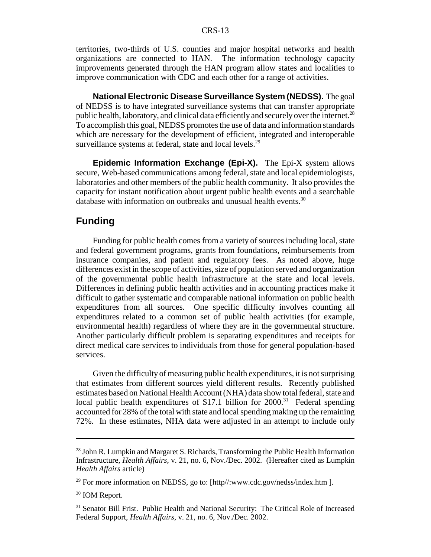territories, two-thirds of U.S. counties and major hospital networks and health organizations are connected to HAN. The information technology capacity improvements generated through the HAN program allow states and localities to improve communication with CDC and each other for a range of activities.

**National Electronic Disease Surveillance System (NEDSS).** The goal of NEDSS is to have integrated surveillance systems that can transfer appropriate public health, laboratory, and clinical data efficiently and securely over the internet.<sup>28</sup> To accomplish this goal, NEDSS promotes the use of data and information standards which are necessary for the development of efficient, integrated and interoperable surveillance systems at federal, state and local levels.<sup>29</sup>

**Epidemic Information Exchange (Epi-X).** The Epi-X system allows secure, Web-based communications among federal, state and local epidemiologists, laboratories and other members of the public health community. It also provides the capacity for instant notification about urgent public health events and a searchable database with information on outbreaks and unusual health events.<sup>30</sup>

## **Funding**

Funding for public health comes from a variety of sources including local, state and federal government programs, grants from foundations, reimbursements from insurance companies, and patient and regulatory fees. As noted above, huge differences exist in the scope of activities, size of population served and organization of the governmental public health infrastructure at the state and local levels. Differences in defining public health activities and in accounting practices make it difficult to gather systematic and comparable national information on public health expenditures from all sources. One specific difficulty involves counting all expenditures related to a common set of public health activities (for example, environmental health) regardless of where they are in the governmental structure. Another particularly difficult problem is separating expenditures and receipts for direct medical care services to individuals from those for general population-based services.

Given the difficulty of measuring public health expenditures, it is not surprising that estimates from different sources yield different results. Recently published estimates based on National Health Account (NHA) data show total federal, state and local public health expenditures of \$17.1 billion for  $2000$ .<sup>31</sup> Federal spending accounted for 28% of the total with state and local spending making up the remaining 72%. In these estimates, NHA data were adjusted in an attempt to include only

<sup>&</sup>lt;sup>28</sup> John R. Lumpkin and Margaret S. Richards, Transforming the Public Health Information Infrastructure, *Health Affairs*, v. 21, no. 6, Nov./Dec. 2002. (Hereafter cited as Lumpkin *Health Affairs* article)

<sup>&</sup>lt;sup>29</sup> For more information on NEDSS, go to: [http//:www.cdc.gov/nedss/index.htm ].

<sup>&</sup>lt;sup>30</sup> IOM Report.

<sup>&</sup>lt;sup>31</sup> Senator Bill Frist. Public Health and National Security: The Critical Role of Increased Federal Support, *Health Affairs*, v. 21, no. 6, Nov./Dec. 2002.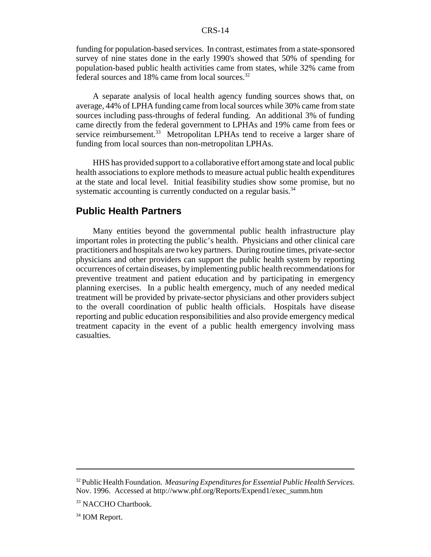funding for population-based services. In contrast, estimates from a state-sponsored survey of nine states done in the early 1990's showed that 50% of spending for population-based public health activities came from states, while 32% came from federal sources and 18% came from local sources.<sup>32</sup>

A separate analysis of local health agency funding sources shows that, on average, 44% of LPHA funding came from local sources while 30% came from state sources including pass-throughs of federal funding. An additional 3% of funding came directly from the federal government to LPHAs and 19% came from fees or service reimbursement.<sup>33</sup> Metropolitan LPHAs tend to receive a larger share of funding from local sources than non-metropolitan LPHAs.

HHS has provided support to a collaborative effort among state and local public health associations to explore methods to measure actual public health expenditures at the state and local level. Initial feasibility studies show some promise, but no systematic accounting is currently conducted on a regular basis.<sup>34</sup>

#### **Public Health Partners**

Many entities beyond the governmental public health infrastructure play important roles in protecting the public's health. Physicians and other clinical care practitioners and hospitals are two key partners. During routine times, private-sector physicians and other providers can support the public health system by reporting occurrences of certain diseases, by implementing public health recommendations for preventive treatment and patient education and by participating in emergency planning exercises. In a public health emergency, much of any needed medical treatment will be provided by private-sector physicians and other providers subject to the overall coordination of public health officials. Hospitals have disease reporting and public education responsibilities and also provide emergency medical treatment capacity in the event of a public health emergency involving mass casualties.

<sup>32</sup> Public Health Foundation. *Measuring Expenditures for Essential Public Health Services.* Nov. 1996. Accessed at http://www.phf.org/Reports/Expend1/exec\_summ.htm

<sup>&</sup>lt;sup>33</sup> NACCHO Chartbook.

<sup>&</sup>lt;sup>34</sup> IOM Report.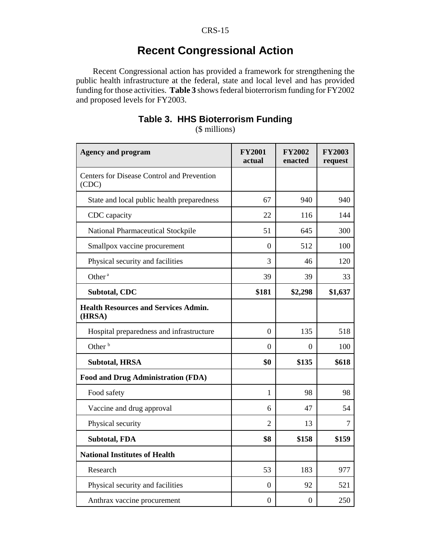# **Recent Congressional Action**

Recent Congressional action has provided a framework for strengthening the public health infrastructure at the federal, state and local level and has provided funding for those activities. **Table 3** shows federal bioterrorism funding for FY2002 and proposed levels for FY2003.

| <b>Agency and program</b>                             | <b>FY2001</b><br>actual | <b>FY2002</b><br>enacted | <b>FY2003</b><br>request |
|-------------------------------------------------------|-------------------------|--------------------------|--------------------------|
| Centers for Disease Control and Prevention<br>(CDC)   |                         |                          |                          |
| State and local public health preparedness            | 67                      | 940                      | 940                      |
| CDC capacity                                          | 22                      | 116                      | 144                      |
| National Pharmaceutical Stockpile                     | 51                      | 645                      | 300                      |
| Smallpox vaccine procurement                          | $\boldsymbol{0}$        | 512                      | 100                      |
| Physical security and facilities                      | 3                       | 46                       | 120                      |
| Other <sup>a</sup>                                    | 39                      | 39                       | 33                       |
| Subtotal, CDC                                         | \$181                   | \$2,298                  | \$1,637                  |
| <b>Health Resources and Services Admin.</b><br>(HRSA) |                         |                          |                          |
| Hospital preparedness and infrastructure              | $\theta$                | 135                      | 518                      |
| Other <sup>b</sup>                                    | $\Omega$                | $\theta$                 | 100                      |
| <b>Subtotal, HRSA</b>                                 | \$0                     | \$135                    | \$618                    |
| <b>Food and Drug Administration (FDA)</b>             |                         |                          |                          |
| Food safety                                           | $\mathbf{1}$            | 98                       | 98                       |
| Vaccine and drug approval                             | 6                       | 47                       | 54                       |
| Physical security                                     | $\overline{2}$          | 13                       | 7                        |
| <b>Subtotal, FDA</b>                                  | \$8                     | \$158                    | \$159                    |
| <b>National Institutes of Health</b>                  |                         |                          |                          |
| Research                                              | 53                      | 183                      | 977                      |
| Physical security and facilities                      | $\mathbf{0}$            | 92                       | 521                      |
|                                                       |                         |                          |                          |

Anthrax vaccine procurement  $0 \t 0 \t 250$ 

## **Table 3. HHS Bioterrorism Funding** (\$ millions)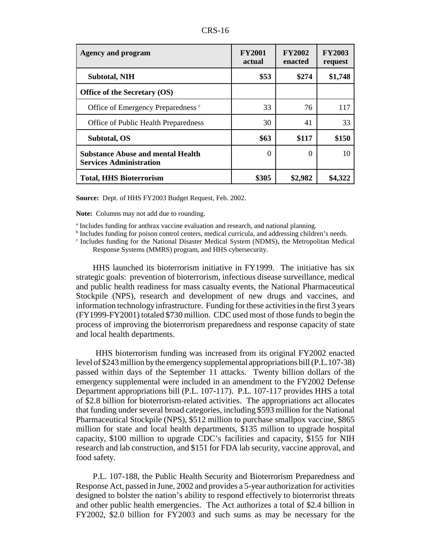| 'D C<br>ιn<br>AN 13. |
|----------------------|
|----------------------|

| <b>Agency and program</b>                                                  | <b>FY2001</b><br>actual | <b>FY2002</b><br>enacted | <b>FY2003</b><br>request |
|----------------------------------------------------------------------------|-------------------------|--------------------------|--------------------------|
| <b>Subtotal, NIH</b>                                                       | \$53                    | \$274                    | \$1,748                  |
| Office of the Secretary (OS)                                               |                         |                          |                          |
| Office of Emergency Preparedness <sup>c</sup>                              | 33                      | 76                       | 117                      |
| Office of Public Health Preparedness                                       | 30                      | 41                       | 33                       |
| Subtotal, OS                                                               | \$63                    | \$117                    | \$150                    |
| <b>Substance Abuse and mental Health</b><br><b>Services Administration</b> | $\Omega$                | 0                        | 10                       |
| <b>Total, HHS Bioterrorism</b>                                             | \$305                   | \$2,982                  | \$4,322                  |

**Source:** Dept. of HHS FY2003 Budget Request, Feb. 2002.

**Note:** Columns may not add due to rounding.

<sup>a</sup> Includes funding for anthrax vaccine evaluation and research, and national planning.

<sup>b</sup> Includes funding for poison control centers, medical curricula, and addressing children's needs.

<sup>c</sup> Includes funding for the National Disaster Medical System (NDMS), the Metropolitan Medical Response Systems (MMRS) program, and HHS cybersecurity.

HHS launched its bioterrorism initiative in FY1999. The initiative has six strategic goals: prevention of bioterrorism, infectious disease surveillance, medical and public health readiness for mass casualty events, the National Pharmaceutical Stockpile (NPS), research and development of new drugs and vaccines, and information technology infrastructure. Funding for these activities in the first 3 years (FY1999-FY2001) totaled \$730 million. CDC used most of those funds to begin the process of improving the bioterrorism preparedness and response capacity of state and local health departments.

 HHS bioterrorism funding was increased from its original FY2002 enacted level of \$243 million by the emergency supplemental appropriations bill (P.L.107-38) passed within days of the September 11 attacks. Twenty billion dollars of the emergency supplemental were included in an amendment to the FY2002 Defense Department appropriations bill (P.L. 107-117). P.L. 107-117 provides HHS a total of \$2.8 billion for bioterrorism-related activities. The appropriations act allocates that funding under several broad categories, including \$593 million for the National Pharmaceutical Stockpile (NPS), \$512 million to purchase smallpox vaccine, \$865 million for state and local health departments, \$135 million to upgrade hospital capacity, \$100 million to upgrade CDC's facilities and capacity, \$155 for NIH research and lab construction, and \$151 for FDA lab security, vaccine approval, and food safety.

P.L. 107-188, the Public Health Security and Bioterrorism Preparedness and Response Act, passed in June, 2002 and provides a 5-year authorization for activities designed to bolster the nation's ability to respond effectively to bioterrorist threats and other public health emergencies. The Act authorizes a total of \$2.4 billion in FY2002, \$2.0 billion for FY2003 and such sums as may be necessary for the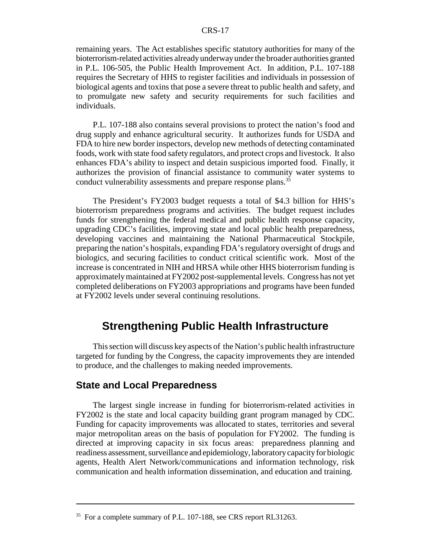remaining years. The Act establishes specific statutory authorities for many of the bioterrorism-related activities already underway under the broader authorities granted in P.L. 106-505, the Public Health Improvement Act. In addition, P.L. 107-188 requires the Secretary of HHS to register facilities and individuals in possession of biological agents and toxins that pose a severe threat to public health and safety, and to promulgate new safety and security requirements for such facilities and individuals.

P.L. 107-188 also contains several provisions to protect the nation's food and drug supply and enhance agricultural security. It authorizes funds for USDA and FDA to hire new border inspectors, develop new methods of detecting contaminated foods, work with state food safety regulators, and protect crops and livestock. It also enhances FDA's ability to inspect and detain suspicious imported food. Finally, it authorizes the provision of financial assistance to community water systems to conduct vulnerability assessments and prepare response plans.<sup>35</sup>

The President's FY2003 budget requests a total of \$4.3 billion for HHS's bioterrorism preparedness programs and activities. The budget request includes funds for strengthening the federal medical and public health response capacity, upgrading CDC's facilities, improving state and local public health preparedness, developing vaccines and maintaining the National Pharmaceutical Stockpile, preparing the nation's hospitals, expanding FDA's regulatory oversight of drugs and biologics, and securing facilities to conduct critical scientific work. Most of the increase is concentrated in NIH and HRSA while other HHS bioterrorism funding is approximately maintained at FY2002 post-supplemental levels. Congress has not yet completed deliberations on FY2003 appropriations and programs have been funded at FY2002 levels under several continuing resolutions.

## **Strengthening Public Health Infrastructure**

This section will discuss key aspects of the Nation's public health infrastructure targeted for funding by the Congress, the capacity improvements they are intended to produce, and the challenges to making needed improvements.

#### **State and Local Preparedness**

The largest single increase in funding for bioterrorism-related activities in FY2002 is the state and local capacity building grant program managed by CDC. Funding for capacity improvements was allocated to states, territories and several major metropolitan areas on the basis of population for FY2002. The funding is directed at improving capacity in six focus areas: preparedness planning and readiness assessment, surveillance and epidemiology, laboratory capacity for biologic agents, Health Alert Network/communications and information technology, risk communication and health information dissemination, and education and training.

<sup>&</sup>lt;sup>35</sup> For a complete summary of P.L. 107-188, see CRS report RL31263.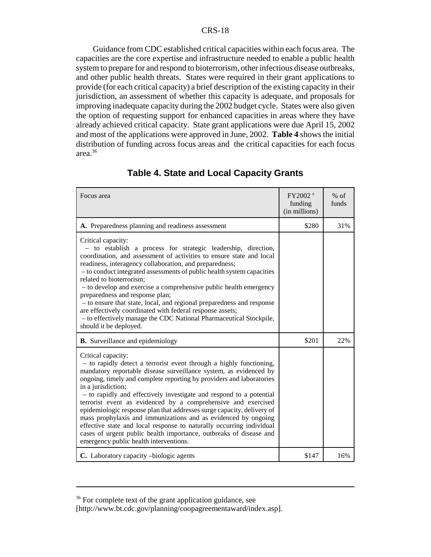Guidance from CDC established critical capacities within each focus area. The capacities are the core expertise and infrastructure needed to enable a public health system to prepare for and respond to bioterrorism, other infectious disease outbreaks, and other public health threats. States were required in their grant applications to provide (for each critical capacity) a brief description of the existing capacity in their jurisdiction, an assessment of whether this capacity is adequate, and proposals for improving inadequate capacity during the 2002 budget cycle. States were also given the option of requesting support for enhanced capacities in areas where they have already achieved critical capacity. State grant applications were due April 15, 2002 and most of the applications were approved in June, 2002. **Table 4** shows the initial distribution of funding across focus areas and the critical capacities for each focus area.36

| Focus area                                                                                                                                                                                                                                                                                                                                                                                                                                                                                                                                                                                                                                                                                                                               | FY2002 <sup>a</sup><br>funding<br>(in millions) | $%$ of<br>funds |
|------------------------------------------------------------------------------------------------------------------------------------------------------------------------------------------------------------------------------------------------------------------------------------------------------------------------------------------------------------------------------------------------------------------------------------------------------------------------------------------------------------------------------------------------------------------------------------------------------------------------------------------------------------------------------------------------------------------------------------------|-------------------------------------------------|-----------------|
| A. Preparedness planning and readiness assessment                                                                                                                                                                                                                                                                                                                                                                                                                                                                                                                                                                                                                                                                                        | \$280                                           | 31%             |
| Critical capacity:<br>- to establish a process for strategic leadership, direction,<br>coordination, and assessment of activities to ensure state and local<br>readiness, interagency collaboration, and preparedness;<br>- to conduct integrated assessments of public health system capacities<br>related to bioterrorism;<br>- to develop and exercise a comprehensive public health emergency<br>preparedness and response plan;<br>- to ensure that state, local, and regional preparedness and response<br>are effectively coordinated with federal response assets;<br>- to effectively manage the CDC National Pharmaceutical Stockpile,<br>should it be deployed.                                                               |                                                 |                 |
| <b>B.</b> Surveillance and epidemiology                                                                                                                                                                                                                                                                                                                                                                                                                                                                                                                                                                                                                                                                                                  | \$201                                           | 22%             |
| Critical capacity:<br>- to rapidly detect a terrorist event through a highly functioning,<br>mandatory reportable disease surveillance system, as evidenced by<br>ongoing, timely and complete reporting by providers and laboratories<br>in a jurisdiction;<br>- to rapidly and effectively investigate and respond to a potential<br>terrorist event as evidenced by a comprehensive and exercised<br>epidemiologic response plan that addresses surge capacity, delivery of<br>mass prophylaxis and immunizations and as evidenced by ongoing<br>effective state and local response to naturally occurring individual<br>cases of urgent public health importance, outbreaks of disease and<br>emergency public health interventions. |                                                 |                 |
| C. Laboratory capacity -biologic agents                                                                                                                                                                                                                                                                                                                                                                                                                                                                                                                                                                                                                                                                                                  | \$147                                           | 16%             |

## **Table 4. State and Local Capacity Grants**

<sup>&</sup>lt;sup>36</sup> For complete text of the grant application guidance, see

<sup>[</sup>http://www.bt.cdc.gov/planning/coopagreementaward/index.asp].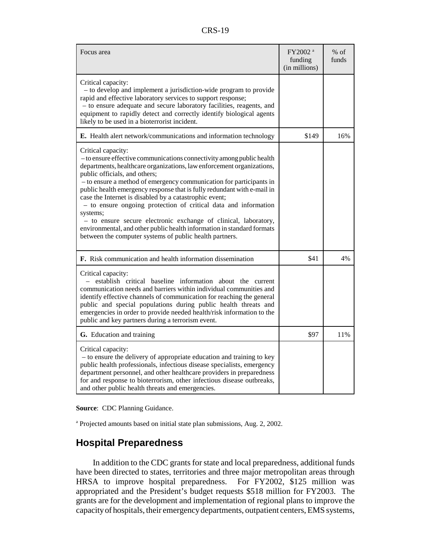| D<br>c.<br>ı١<br>. |
|--------------------|
|--------------------|

| Focus area                                                                                                                                                                                                                                                                                                                                                                                                                                                                                                                                                                                                                                                                                               | FY2002 <sup>a</sup><br>funding<br>(in millions) | $%$ of<br>funds |
|----------------------------------------------------------------------------------------------------------------------------------------------------------------------------------------------------------------------------------------------------------------------------------------------------------------------------------------------------------------------------------------------------------------------------------------------------------------------------------------------------------------------------------------------------------------------------------------------------------------------------------------------------------------------------------------------------------|-------------------------------------------------|-----------------|
| Critical capacity:<br>- to develop and implement a jurisdiction-wide program to provide<br>rapid and effective laboratory services to support response;<br>- to ensure adequate and secure laboratory facilities, reagents, and<br>equipment to rapidly detect and correctly identify biological agents<br>likely to be used in a bioterrorist incident.                                                                                                                                                                                                                                                                                                                                                 |                                                 |                 |
| E. Health alert network/communications and information technology                                                                                                                                                                                                                                                                                                                                                                                                                                                                                                                                                                                                                                        | \$149                                           | 16%             |
| Critical capacity:<br>- to ensure effective communications connectivity among public health<br>departments, healthcare organizations, law enforcement organizations,<br>public officials, and others;<br>- to ensure a method of emergency communication for participants in<br>public health emergency response that is fully redundant with e-mail in<br>case the Internet is disabled by a catastrophic event;<br>- to ensure ongoing protection of critical data and information<br>systems;<br>- to ensure secure electronic exchange of clinical, laboratory,<br>environmental, and other public health information in standard formats<br>between the computer systems of public health partners. |                                                 |                 |
| <b>F.</b> Risk communication and health information dissemination                                                                                                                                                                                                                                                                                                                                                                                                                                                                                                                                                                                                                                        | \$41                                            | 4%              |
| Critical capacity:<br>- establish critical baseline information about the current<br>communication needs and barriers within individual communities and<br>identify effective channels of communication for reaching the general<br>public and special populations during public health threats and<br>emergencies in order to provide needed health/risk information to the<br>public and key partners during a terrorism event.                                                                                                                                                                                                                                                                        |                                                 |                 |
| G. Education and training                                                                                                                                                                                                                                                                                                                                                                                                                                                                                                                                                                                                                                                                                | \$97                                            | 11%             |
| Critical capacity:<br>- to ensure the delivery of appropriate education and training to key<br>public health professionals, infectious disease specialists, emergency<br>department personnel, and other healthcare providers in preparedness<br>for and response to bioterrorism, other infectious disease outbreaks,<br>and other public health threats and emergencies.                                                                                                                                                                                                                                                                                                                               |                                                 |                 |

**Source**: CDC Planning Guidance.

a Projected amounts based on initial state plan submissions, Aug. 2, 2002.

## **Hospital Preparedness**

In addition to the CDC grants for state and local preparedness, additional funds have been directed to states, territories and three major metropolitan areas through HRSA to improve hospital preparedness. For FY2002, \$125 million was appropriated and the President's budget requests \$518 million for FY2003. The grants are for the development and implementation of regional plans to improve the capacity of hospitals, their emergency departments, outpatient centers, EMS systems,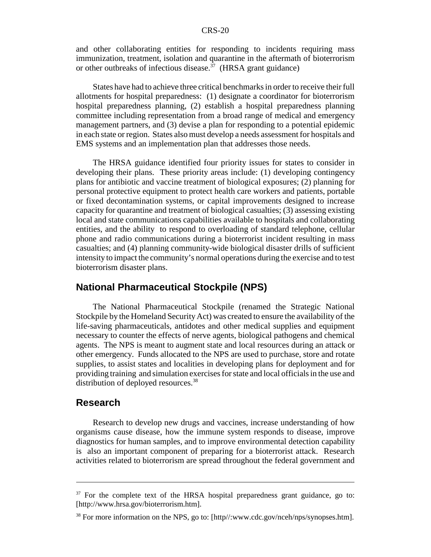and other collaborating entities for responding to incidents requiring mass immunization, treatment, isolation and quarantine in the aftermath of bioterrorism or other outbreaks of infectious disease.<sup> $37$ </sup> (HRSA grant guidance)

States have had to achieve three critical benchmarks in order to receive their full allotments for hospital preparedness: (1) designate a coordinator for bioterrorism hospital preparedness planning, (2) establish a hospital preparedness planning committee including representation from a broad range of medical and emergency management partners, and (3) devise a plan for responding to a potential epidemic in each state or region. States also must develop a needs assessment for hospitals and EMS systems and an implementation plan that addresses those needs.

The HRSA guidance identified four priority issues for states to consider in developing their plans. These priority areas include: (1) developing contingency plans for antibiotic and vaccine treatment of biological exposures; (2) planning for personal protective equipment to protect health care workers and patients, portable or fixed decontamination systems, or capital improvements designed to increase capacity for quarantine and treatment of biological casualties; (3) assessing existing local and state communications capabilities available to hospitals and collaborating entities, and the ability to respond to overloading of standard telephone, cellular phone and radio communications during a bioterrorist incident resulting in mass casualties; and (4) planning community-wide biological disaster drills of sufficient intensity to impact the community's normal operations during the exercise and to test bioterrorism disaster plans.

## **National Pharmaceutical Stockpile (NPS)**

The National Pharmaceutical Stockpile (renamed the Strategic National Stockpile by the Homeland Security Act) was created to ensure the availability of the life-saving pharmaceuticals, antidotes and other medical supplies and equipment necessary to counter the effects of nerve agents, biological pathogens and chemical agents. The NPS is meant to augment state and local resources during an attack or other emergency. Funds allocated to the NPS are used to purchase, store and rotate supplies, to assist states and localities in developing plans for deployment and for providing training and simulation exercises for state and local officials in the use and distribution of deployed resources.<sup>38</sup>

#### **Research**

Research to develop new drugs and vaccines, increase understanding of how organisms cause disease, how the immune system responds to disease, improve diagnostics for human samples, and to improve environmental detection capability is also an important component of preparing for a bioterrorist attack. Research activities related to bioterrorism are spread throughout the federal government and

 $37$  For the complete text of the HRSA hospital preparedness grant guidance, go to: [http://www.hrsa.gov/bioterrorism.htm].

<sup>38</sup> For more information on the NPS, go to: [http//:www.cdc.gov/nceh/nps/synopses.htm].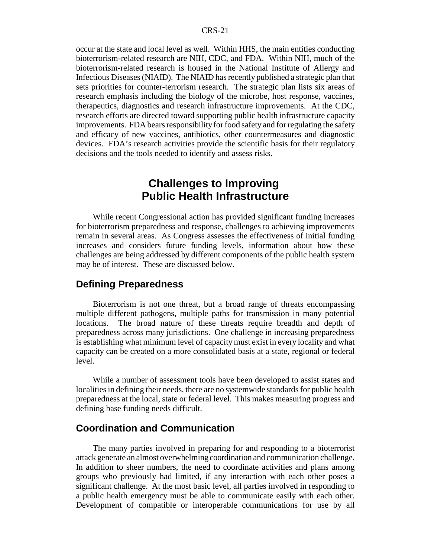occur at the state and local level as well. Within HHS, the main entities conducting bioterrorism-related research are NIH, CDC, and FDA. Within NIH, much of the bioterrorism-related research is housed in the National Institute of Allergy and Infectious Diseases (NIAID). The NIAID has recently published a strategic plan that sets priorities for counter-terrorism research. The strategic plan lists six areas of research emphasis including the biology of the microbe, host response, vaccines, therapeutics, diagnostics and research infrastructure improvements. At the CDC, research efforts are directed toward supporting public health infrastructure capacity improvements. FDA bears responsibility for food safety and for regulating the safety and efficacy of new vaccines, antibiotics, other countermeasures and diagnostic devices. FDA's research activities provide the scientific basis for their regulatory decisions and the tools needed to identify and assess risks.

# **Challenges to Improving Public Health Infrastructure**

While recent Congressional action has provided significant funding increases for bioterrorism preparedness and response, challenges to achieving improvements remain in several areas. As Congress assesses the effectiveness of initial funding increases and considers future funding levels, information about how these challenges are being addressed by different components of the public health system may be of interest. These are discussed below.

#### **Defining Preparedness**

Bioterrorism is not one threat, but a broad range of threats encompassing multiple different pathogens, multiple paths for transmission in many potential locations. The broad nature of these threats require breadth and depth of preparedness across many jurisdictions. One challenge in increasing preparedness is establishing what minimum level of capacity must exist in every locality and what capacity can be created on a more consolidated basis at a state, regional or federal level.

While a number of assessment tools have been developed to assist states and localities in defining their needs, there are no systemwide standards for public health preparedness at the local, state or federal level. This makes measuring progress and defining base funding needs difficult.

## **Coordination and Communication**

The many parties involved in preparing for and responding to a bioterrorist attack generate an almost overwhelming coordination and communication challenge. In addition to sheer numbers, the need to coordinate activities and plans among groups who previously had limited, if any interaction with each other poses a significant challenge. At the most basic level, all parties involved in responding to a public health emergency must be able to communicate easily with each other. Development of compatible or interoperable communications for use by all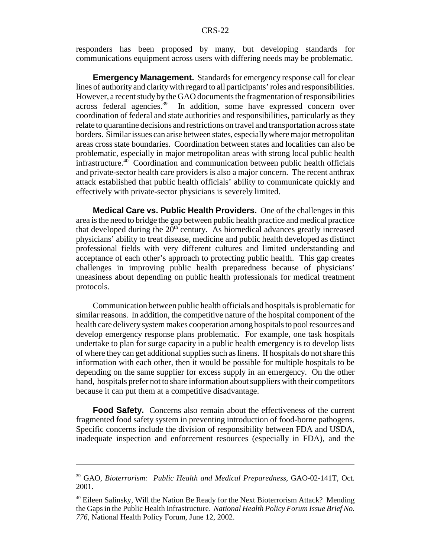responders has been proposed by many, but developing standards for communications equipment across users with differing needs may be problematic.

**Emergency Management.** Standards for emergency response call for clear lines of authority and clarity with regard to all participants' roles and responsibilities. However, a recent study by the GAO documents the fragmentation of responsibilities across federal agencies.<sup>39</sup> In addition, some have expressed concern over In addition, some have expressed concern over coordination of federal and state authorities and responsibilities, particularly as they relate to quarantine decisions and restrictions on travel and transportation across state borders. Similar issues can arise between states, especially where major metropolitan areas cross state boundaries. Coordination between states and localities can also be problematic, especially in major metropolitan areas with strong local public health  $infrastructure.<sup>40</sup>$  Coordination and communication between public health officials and private-sector health care providers is also a major concern. The recent anthrax attack established that public health officials' ability to communicate quickly and effectively with private-sector physicians is severely limited.

**Medical Care vs. Public Health Providers.** One of the challenges in this area is the need to bridge the gap between public health practice and medical practice that developed during the  $20<sup>th</sup>$  century. As biomedical advances greatly increased physicians' ability to treat disease, medicine and public health developed as distinct professional fields with very different cultures and limited understanding and acceptance of each other's approach to protecting public health. This gap creates challenges in improving public health preparedness because of physicians' uneasiness about depending on public health professionals for medical treatment protocols.

Communication between public health officials and hospitals is problematic for similar reasons. In addition, the competitive nature of the hospital component of the health care delivery system makes cooperation among hospitals to pool resources and develop emergency response plans problematic. For example, one task hospitals undertake to plan for surge capacity in a public health emergency is to develop lists of where they can get additional supplies such as linens. If hospitals do not share this information with each other, then it would be possible for multiple hospitals to be depending on the same supplier for excess supply in an emergency. On the other hand, hospitals prefer not to share information about suppliers with their competitors because it can put them at a competitive disadvantage.

**Food Safety.** Concerns also remain about the effectiveness of the current fragmented food safety system in preventing introduction of food-borne pathogens. Specific concerns include the division of responsibility between FDA and USDA, inadequate inspection and enforcement resources (especially in FDA), and the

<sup>39</sup> GAO, *Bioterrorism: Public Health and Medical Preparedness*, GAO-02-141T, Oct. 2001.

<sup>&</sup>lt;sup>40</sup> Eileen Salinsky, Will the Nation Be Ready for the Next Bioterrorism Attack? Mending the Gaps in the Public Health Infrastructure. *National Health Policy Forum Issue Brief No. 776*, National Health Policy Forum, June 12, 2002.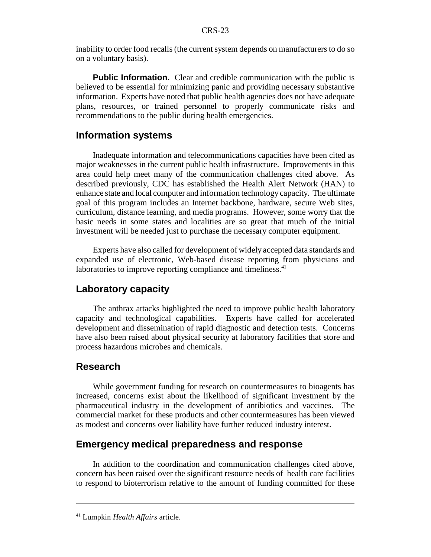inability to order food recalls (the current system depends on manufacturers to do so on a voluntary basis).

**Public Information.** Clear and credible communication with the public is believed to be essential for minimizing panic and providing necessary substantive information. Experts have noted that public health agencies does not have adequate plans, resources, or trained personnel to properly communicate risks and recommendations to the public during health emergencies.

#### **Information systems**

Inadequate information and telecommunications capacities have been cited as major weaknesses in the current public health infrastructure. Improvements in this area could help meet many of the communication challenges cited above. As described previously, CDC has established the Health Alert Network (HAN) to enhance state and local computer and information technology capacity. The ultimate goal of this program includes an Internet backbone, hardware, secure Web sites, curriculum, distance learning, and media programs. However, some worry that the basic needs in some states and localities are so great that much of the initial investment will be needed just to purchase the necessary computer equipment.

Experts have also called for development of widely accepted data standards and expanded use of electronic, Web-based disease reporting from physicians and laboratories to improve reporting compliance and timeliness. $41$ 

#### **Laboratory capacity**

The anthrax attacks highlighted the need to improve public health laboratory capacity and technological capabilities. Experts have called for accelerated development and dissemination of rapid diagnostic and detection tests. Concerns have also been raised about physical security at laboratory facilities that store and process hazardous microbes and chemicals.

## **Research**

While government funding for research on countermeasures to bioagents has increased, concerns exist about the likelihood of significant investment by the pharmaceutical industry in the development of antibiotics and vaccines. The commercial market for these products and other countermeasures has been viewed as modest and concerns over liability have further reduced industry interest.

#### **Emergency medical preparedness and response**

In addition to the coordination and communication challenges cited above, concern has been raised over the significant resource needs of health care facilities to respond to bioterrorism relative to the amount of funding committed for these

<sup>41</sup> Lumpkin *Health Affairs* article.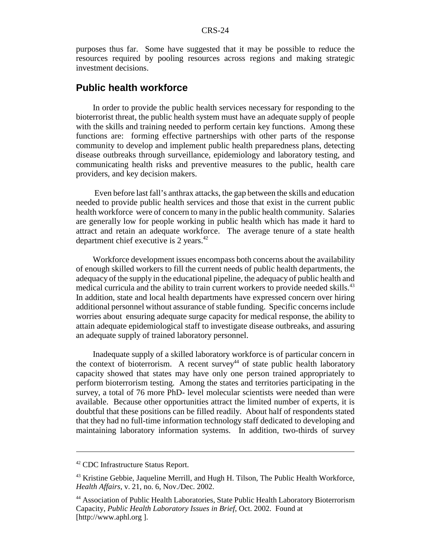purposes thus far. Some have suggested that it may be possible to reduce the resources required by pooling resources across regions and making strategic investment decisions.

#### **Public health workforce**

In order to provide the public health services necessary for responding to the bioterrorist threat, the public health system must have an adequate supply of people with the skills and training needed to perform certain key functions. Among these functions are: forming effective partnerships with other parts of the response community to develop and implement public health preparedness plans, detecting disease outbreaks through surveillance, epidemiology and laboratory testing, and communicating health risks and preventive measures to the public, health care providers, and key decision makers.

 Even before last fall's anthrax attacks, the gap between the skills and education needed to provide public health services and those that exist in the current public health workforce were of concern to many in the public health community. Salaries are generally low for people working in public health which has made it hard to attract and retain an adequate workforce. The average tenure of a state health department chief executive is 2 years.42

Workforce development issues encompass both concerns about the availability of enough skilled workers to fill the current needs of public health departments, the adequacy of the supply in the educational pipeline, the adequacy of public health and medical curricula and the ability to train current workers to provide needed skills.<sup>43</sup> In addition, state and local health departments have expressed concern over hiring additional personnel without assurance of stable funding. Specific concerns include worries about ensuring adequate surge capacity for medical response, the ability to attain adequate epidemiological staff to investigate disease outbreaks, and assuring an adequate supply of trained laboratory personnel.

Inadequate supply of a skilled laboratory workforce is of particular concern in the context of bioterrorism. A recent survey<sup>44</sup> of state public health laboratory capacity showed that states may have only one person trained appropriately to perform bioterrorism testing. Among the states and territories participating in the survey, a total of 76 more PhD- level molecular scientists were needed than were available. Because other opportunities attract the limited number of experts, it is doubtful that these positions can be filled readily. About half of respondents stated that they had no full-time information technology staff dedicated to developing and maintaining laboratory information systems. In addition, two-thirds of survey

<sup>42</sup> CDC Infrastructure Status Report.

<sup>&</sup>lt;sup>43</sup> Kristine Gebbie, Jaqueline Merrill, and Hugh H. Tilson, The Public Health Workforce, *Health Affairs*, v. 21, no. 6, Nov./Dec. 2002.

<sup>44</sup> Association of Public Health Laboratories, State Public Health Laboratory Bioterrorism Capacity, *Public Health Laboratory Issues in Brief*, Oct. 2002. Found at [http://www.aphl.org ].